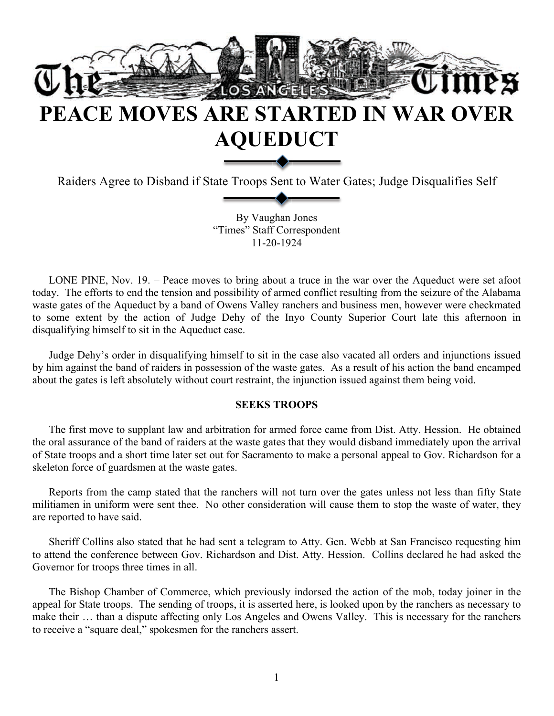

# **PEACE MOVES ARE STARTED IN WAR OVER AQUEDUCT**

Raiders Agree to Disband if State Troops Sent to Water Gates; Judge Disqualifies Self

By Vaughan Jones "Times" Staff Correspondent 11-20-1924

LONE PINE, Nov. 19. – Peace moves to bring about a truce in the war over the Aqueduct were set afoot today. The efforts to end the tension and possibility of armed conflict resulting from the seizure of the Alabama waste gates of the Aqueduct by a band of Owens Valley ranchers and business men, however were checkmated to some extent by the action of Judge Dehy of the Inyo County Superior Court late this afternoon in disqualifying himself to sit in the Aqueduct case.

Judge Dehy's order in disqualifying himself to sit in the case also vacated all orders and injunctions issued by him against the band of raiders in possession of the waste gates. As a result of his action the band encamped about the gates is left absolutely without court restraint, the injunction issued against them being void.

### **SEEKS TROOPS**

The first move to supplant law and arbitration for armed force came from Dist. Atty. Hession. He obtained the oral assurance of the band of raiders at the waste gates that they would disband immediately upon the arrival of State troops and a short time later set out for Sacramento to make a personal appeal to Gov. Richardson for a skeleton force of guardsmen at the waste gates.

Reports from the camp stated that the ranchers will not turn over the gates unless not less than fifty State militiamen in uniform were sent thee. No other consideration will cause them to stop the waste of water, they are reported to have said.

Sheriff Collins also stated that he had sent a telegram to Atty. Gen. Webb at San Francisco requesting him to attend the conference between Gov. Richardson and Dist. Atty. Hession. Collins declared he had asked the Governor for troops three times in all.

The Bishop Chamber of Commerce, which previously indorsed the action of the mob, today joiner in the appeal for State troops. The sending of troops, it is asserted here, is looked upon by the ranchers as necessary to make their … than a dispute affecting only Los Angeles and Owens Valley. This is necessary for the ranchers to receive a "square deal," spokesmen for the ranchers assert.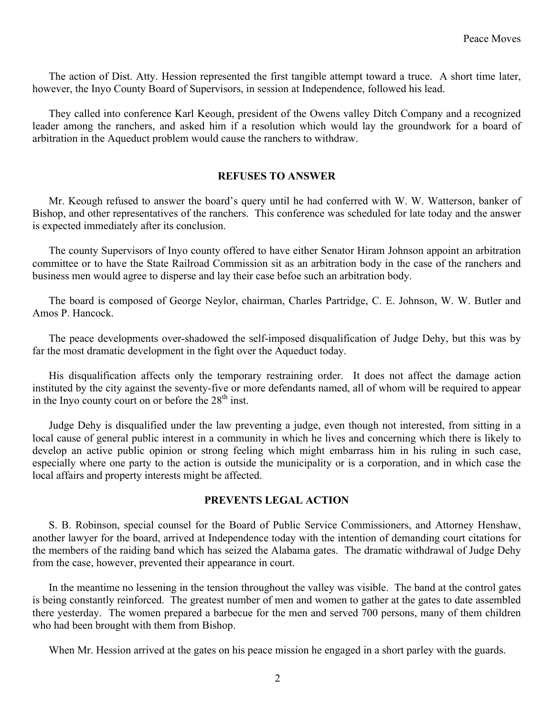The action of Dist. Atty. Hession represented the first tangible attempt toward a truce. A short time later, however, the Inyo County Board of Supervisors, in session at Independence, followed his lead.

They called into conference Karl Keough, president of the Owens valley Ditch Company and a recognized leader among the ranchers, and asked him if a resolution which would lay the groundwork for a board of arbitration in the Aqueduct problem would cause the ranchers to withdraw.

### **REFUSES TO ANSWER**

Mr. Keough refused to answer the board's query until he had conferred with W. W. Watterson, banker of Bishop, and other representatives of the ranchers. This conference was scheduled for late today and the answer is expected immediately after its conclusion.

The county Supervisors of Inyo county offered to have either Senator Hiram Johnson appoint an arbitration committee or to have the State Railroad Commission sit as an arbitration body in the case of the ranchers and business men would agree to disperse and lay their case befoe such an arbitration body.

The board is composed of George Neylor, chairman, Charles Partridge, C. E. Johnson, W. W. Butler and Amos P. Hancock.

The peace developments over-shadowed the self-imposed disqualification of Judge Dehy, but this was by far the most dramatic development in the fight over the Aqueduct today.

His disqualification affects only the temporary restraining order. It does not affect the damage action instituted by the city against the seventy-five or more defendants named, all of whom will be required to appear in the Inyo county court on or before the  $28<sup>th</sup>$  inst.

Judge Dehy is disqualified under the law preventing a judge, even though not interested, from sitting in a local cause of general public interest in a community in which he lives and concerning which there is likely to develop an active public opinion or strong feeling which might embarrass him in his ruling in such case, especially where one party to the action is outside the municipality or is a corporation, and in which case the local affairs and property interests might be affected.

#### **PREVENTS LEGAL ACTION**

S. B. Robinson, special counsel for the Board of Public Service Commissioners, and Attorney Henshaw, another lawyer for the board, arrived at Independence today with the intention of demanding court citations for the members of the raiding band which has seized the Alabama gates. The dramatic withdrawal of Judge Dehy from the case, however, prevented their appearance in court.

In the meantime no lessening in the tension throughout the valley was visible. The band at the control gates is being constantly reinforced. The greatest number of men and women to gather at the gates to date assembled there yesterday. The women prepared a barbecue for the men and served 700 persons, many of them children who had been brought with them from Bishop.

When Mr. Hession arrived at the gates on his peace mission he engaged in a short parley with the guards.